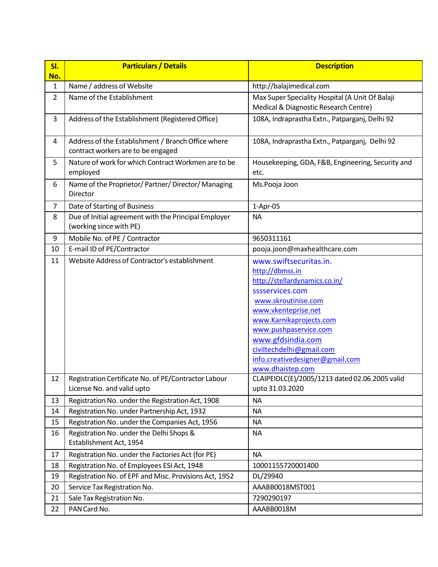| SI.<br>No.     | <b>Particulars / Details</b>                                                             | <b>Description</b>                                                                                                                                                                                                                                                                                      |  |  |  |
|----------------|------------------------------------------------------------------------------------------|---------------------------------------------------------------------------------------------------------------------------------------------------------------------------------------------------------------------------------------------------------------------------------------------------------|--|--|--|
| 1              | Name / address of Website                                                                | http://balajimedical.com                                                                                                                                                                                                                                                                                |  |  |  |
| $\overline{2}$ | Name of the Establishment                                                                | Max Super Speciality Hospital (A Unit Of Balaji<br>Medical & Diagnostic Research Centre)                                                                                                                                                                                                                |  |  |  |
| 3              | Address of the Establishment (Registered Office)                                         | 108A, Indraprastha Extn., Patparganj, Delhi 92                                                                                                                                                                                                                                                          |  |  |  |
| 4              | Address of the Establishment / Branch Office where<br>contract workers are to be engaged | 108A, Indraprastha Extn., Patparganj, Delhi 92                                                                                                                                                                                                                                                          |  |  |  |
| 5              | Nature of work for which Contract Workmen are to be<br>employed                          | Housekeeping, GDA, F&B, Engineering, Security and<br>etc.                                                                                                                                                                                                                                               |  |  |  |
| 6              | Name of the Proprietor/ Partner/ Director/ Managing<br>Director                          | Ms.Pooja Joon                                                                                                                                                                                                                                                                                           |  |  |  |
| $\overline{7}$ | Date of Starting of Business                                                             | $1-Apr-05$                                                                                                                                                                                                                                                                                              |  |  |  |
| 8              | Due of Initial agreement with the Principal Employer<br>(working since with PE)          | <b>NA</b>                                                                                                                                                                                                                                                                                               |  |  |  |
| $9\,$          | Mobile No. of PE / Contractor                                                            | 9650311161                                                                                                                                                                                                                                                                                              |  |  |  |
| 10             | E-mail ID of PE/Contractor                                                               | pooja.joon@maxhealthcare.com                                                                                                                                                                                                                                                                            |  |  |  |
| 11             | Website Address of Contractor's establishment                                            | www.swiftsecuritas.in.<br>http://dbmss.in<br>http://stellardynamics.co.in/<br>sssservices.com<br>www.skroutinise.com<br>www.vkenteprise.net<br>www.Karnikaprojects.com<br>www.pushpaservice.com<br>www.gfdsindia.com<br>civiltechdelhi@gmail.com<br>info.creativedesigner@gmail.com<br>www.dhaistep.com |  |  |  |
| 12             | Registration Certificate No. of PE/Contractor Labour                                     | CLAIPEIDLC(E)/2005/1213 dated 02.06.2005 valid                                                                                                                                                                                                                                                          |  |  |  |
|                | License No. and valid upto                                                               | upto 31.03.2020                                                                                                                                                                                                                                                                                         |  |  |  |
| 13             | Registration No. under the Registration Act, 1908                                        | <b>NA</b>                                                                                                                                                                                                                                                                                               |  |  |  |
| 14             | Registration No. under Partnership Act, 1932                                             | <b>NA</b>                                                                                                                                                                                                                                                                                               |  |  |  |
| 15             | Registration No. under the Companies Act, 1956                                           | <b>NA</b>                                                                                                                                                                                                                                                                                               |  |  |  |
| 16             | Registration No. under the Delhi Shops &<br>Establishment Act, 1954                      | <b>NA</b>                                                                                                                                                                                                                                                                                               |  |  |  |
| 17             | Registration No. under the Factories Act (for PE)                                        | <b>NA</b>                                                                                                                                                                                                                                                                                               |  |  |  |
| 18             | Registration No. of Employees ESI Act, 1948                                              | 10001155720001400                                                                                                                                                                                                                                                                                       |  |  |  |
| 19             | Registration No. of EPF and Misc. Provisions Act, 1952                                   | DL/29940                                                                                                                                                                                                                                                                                                |  |  |  |
| 20             | Service Tax Registration No.                                                             | AAABB0018MST001                                                                                                                                                                                                                                                                                         |  |  |  |
| 21             | Sale Tax Registration No.                                                                | 7290290197                                                                                                                                                                                                                                                                                              |  |  |  |
| 22             | PAN Card No.                                                                             | AAABB0018M                                                                                                                                                                                                                                                                                              |  |  |  |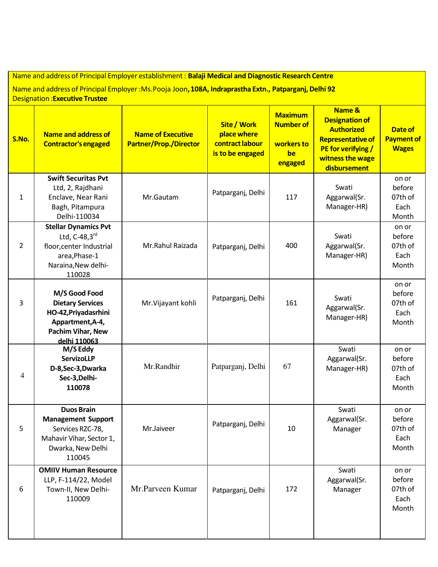| Name and address of Principal Employer establishment: Balaji Medical and Diagnostic Research Centre<br>Name and address of Principal Employer : Ms. Pooja Joon, 108A, Indraprastha Extn., Patparganj, Delhi 92<br><b>Designation: Executive Trustee</b> |                                                                                                                               |                                                           |                                                                   |                                                                   |                                                                                                                                            |                                              |
|---------------------------------------------------------------------------------------------------------------------------------------------------------------------------------------------------------------------------------------------------------|-------------------------------------------------------------------------------------------------------------------------------|-----------------------------------------------------------|-------------------------------------------------------------------|-------------------------------------------------------------------|--------------------------------------------------------------------------------------------------------------------------------------------|----------------------------------------------|
| S.No.                                                                                                                                                                                                                                                   | <b>Name and address of</b><br><b>Contractor's engaged</b>                                                                     | <b>Name of Executive</b><br><b>Partner/Prop./Director</b> | Site / Work<br>place where<br>contract labour<br>is to be engaged | <b>Maximum</b><br><b>Number of</b><br>workers to<br>be<br>engaged | Name &<br><b>Designation of</b><br><b>Authorized</b><br><b>Representative of</b><br>PE for verifying /<br>witness the wage<br>disbursement | Date of<br><b>Payment of</b><br><b>Wages</b> |
| 1                                                                                                                                                                                                                                                       | <b>Swift Securitas Pvt</b><br>Ltd, 2, Rajdhani<br>Enclave, Near Rani<br>Bagh, Pitampura<br>Delhi-110034                       | Mr.Gautam                                                 | Patparganj, Delhi                                                 | 117                                                               | Swati<br>Aggarwal(Sr.<br>Manager-HR)                                                                                                       | on or<br>before<br>07th of<br>Each<br>Month  |
| $\overline{2}$                                                                                                                                                                                                                                          | <b>Stellar Dynamics Pvt</b><br>Ltd, $C-48,3rd$<br>floor, center Industrial<br>area, Phase-1<br>Naraina, New delhi-<br>110028  | Mr.Rahul Raizada                                          | Patparganj, Delhi                                                 | 400                                                               | Swati<br>Aggarwal(Sr.<br>Manager-HR)                                                                                                       | on or<br>before<br>07th of<br>Each<br>Month  |
| 3                                                                                                                                                                                                                                                       | M/S Good Food<br><b>Dietary Services</b><br>HO-42, Priyadasrhini<br>Appartment, A-4,<br>Pachim Vihar, New<br>delhi 110063     | Mr. Vijayant kohli                                        | Patparganj, Delhi                                                 | 161                                                               | Swati<br>Aggarwal(Sr.<br>Manager-HR)                                                                                                       | on or<br>before<br>07th of<br>Each<br>Month  |
| 4                                                                                                                                                                                                                                                       | M/S Eddy<br><b>ServizoLLP</b><br>D-8, Sec-3, Dwarka<br>Sec-3, Delhi-<br>110078                                                | Mr.Randhir                                                | Patparganj, Delhi                                                 | 67                                                                | Swati<br>Aggarwal(Sr.<br>Manager-HR)                                                                                                       | on or<br>before<br>07th of<br>Each<br>Month  |
| 5                                                                                                                                                                                                                                                       | <b>Duos Brain</b><br><b>Management Support</b><br>Services RZC-78,<br>Mahavir Vihar, Sector 1,<br>Dwarka, New Delhi<br>110045 | Mr.Jaiveer                                                | Patparganj, Delhi                                                 | 10                                                                | Swati<br>Aggarwal(Sr.<br>Manager                                                                                                           | on or<br>before<br>07th of<br>Each<br>Month  |
| 6                                                                                                                                                                                                                                                       | <b>OMIIV Human Resource</b><br>LLP, F-114/22, Model<br>Town-II, New Delhi-<br>110009                                          | Mr.Parveen Kumar                                          | Patparganj, Delhi                                                 | 172                                                               | Swati<br>Aggarwal(Sr.<br>Manager                                                                                                           | on or<br>before<br>07th of<br>Each<br>Month  |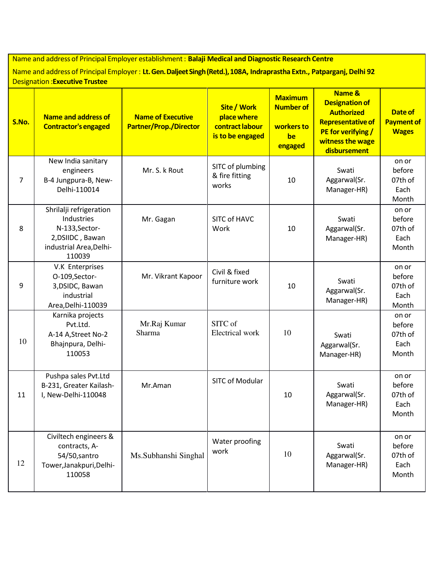Name and address of Principal Employer establishment : **Balaji Medical and Diagnostic Research Centre**

Name and address of Principal Employer : **Lt. Gen. Daljeet Singh (Retd.), 108A, Indraprastha Extn., Patparganj, Delhi 92** Designation :**Executive Trustee**

| S.No.          | Name and address of<br><b>Contractor's engaged</b>                                                               | <b>Name of Executive</b><br><b>Partner/Prop./Director</b> | <b>Site / Work</b><br>place where<br>contract labour<br>is to be engaged | <b>Maximum</b><br><b>Number of</b><br>workers to<br>be<br>engaged | <b>Name &amp;</b><br><b>Designation of</b><br><b>Authorized</b><br>Representative of<br>PE for verifying /<br>witness the wage<br>disbursement | Date of<br><b>Payment of</b><br><b>Wages</b> |
|----------------|------------------------------------------------------------------------------------------------------------------|-----------------------------------------------------------|--------------------------------------------------------------------------|-------------------------------------------------------------------|------------------------------------------------------------------------------------------------------------------------------------------------|----------------------------------------------|
| $\overline{7}$ | New India sanitary<br>engineers<br>B-4 Jungpura-B, New-<br>Delhi-110014                                          | Mr. S. k Rout                                             | SITC of plumbing<br>& fire fitting<br>works                              | 10                                                                | Swati<br>Aggarwal(Sr.<br>Manager-HR)                                                                                                           | on or<br>before<br>07th of<br>Each<br>Month  |
| 8              | Shrilalji refrigeration<br>Industries<br>N-133, Sector-<br>2, DSIIDC, Bawan<br>industrial Area, Delhi-<br>110039 | Mr. Gagan                                                 | SITC of HAVC<br>Work                                                     | 10                                                                | Swati<br>Aggarwal(Sr.<br>Manager-HR)                                                                                                           | on or<br>before<br>07th of<br>Each<br>Month  |
| 9              | V.K Enterprises<br>O-109, Sector-<br>3, DSIDC, Bawan<br>industrial<br>Area, Delhi-110039                         | Mr. Vikrant Kapoor                                        | Civil & fixed<br>furniture work                                          | 10                                                                | Swati<br>Aggarwal(Sr.<br>Manager-HR)                                                                                                           | on or<br>before<br>07th of<br>Each<br>Month  |
| 10             | Karnika projects<br>Pvt.Ltd.<br>A-14 A, Street No-2<br>Bhajnpura, Delhi-<br>110053                               | Mr.Raj Kumar<br>Sharma                                    | SITC of<br>Electrical work                                               | 10                                                                | Swati<br>Aggarwal(Sr.<br>Manager-HR)                                                                                                           | on or<br>before<br>07th of<br>Each<br>Month  |
| 11             | Pushpa sales Pvt.Ltd<br>B-231, Greater Kailash-<br>I, New-Delhi-110048                                           | Mr.Aman                                                   | SITC of Modular                                                          | 10                                                                | Swati<br>Aggarwal(Sr.<br>Manager-HR)                                                                                                           | on or<br>before<br>07th of<br>Each<br>Month  |
| 12             | Civiltech engineers &<br>contracts, A-<br>54/50, santro<br>Tower, Janakpuri, Delhi-<br>110058                    | Ms.Subhanshi Singhal                                      | Water proofing<br>work                                                   | 10                                                                | Swati<br>Aggarwal(Sr.<br>Manager-HR)                                                                                                           | on or<br>before<br>07th of<br>Each<br>Month  |